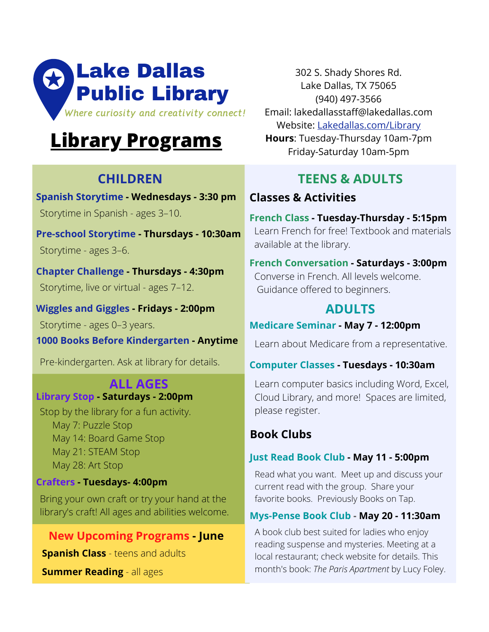

# **[Library Programs](http://lakedallas.com/404/Calendar-of-Events)**

# **CHILDREN**

Storytime in Spanish - ages 3–10. **Spanish Storytime - Wednesdays - 3:30 pm**

Storytime - ages 3–6. **Pre-school Storytime - Thursdays - 10:30am**

Storytime, live or virtual - ages 7–12. **Chapter Challenge - Thursdays - 4:30pm**

Storytime - ages 0–3 years. **Wiggles and Giggles - Fridays - 2:00pm**

**1000 Books Before Kindergarten - Anytime**

Pre-kindergarten. Ask at library for details.

#### **ALL AGES Library Stop - Saturdays - 2:00pm**

Stop by the library for a fun activity. May 7: Puzzle Stop May 14: Board Game Stop May 21: STEAM Stop May 28: Art Stop

## **Crafters - Tuesdays- 4:00pm**

Bring your own craft or try your hand at the library's craft! All ages and abilities welcome.

# **New Upcoming Programs - June**

**Spanish Class** - teens and adults

**Summer Reading** - all ages

302 S. Shady Shores Rd. Lake Dallas, TX 75065 (940) 497-3566 Email: lakedallasstaff@lakedallas.com Website: [Lakedallas.com/Library](http://lakedallas.com/387/Lake-Dallas-Public-Library) **Hours**: Tuesday-Thursday 10am-7pm Friday-Saturday 10am-5pm

# **TEENS & ADULTS**

# **Classes & Activities**

Learn French for free! Textbook and materials available at the library. **French Class - Tuesday-Thursday - 5:15pm**

Converse in French. All levels welcome. Guidance offered to beginners. **French Conversation - Saturdays - 3:00pm**

# **ADULTS**

## **Medicare Seminar - May 7 - 12:00pm**

Learn about Medicare from a representative.

## **Computer Classes - Tuesdays - 10:30am**

Learn computer basics including Word, Excel, Cloud Library, and more! Spaces are limited, please register.

# **Book Clubs**

## **Just Read Book Club - May 11 - 5:00pm**

Read what you want. Meet up and discuss your current read with the group. Share your favorite books. Previously Books on Tap.

## **Mys-Pense Book Club - May 20 - 11:30am**

A book club best suited for ladies who enjoy reading suspense and mysteries. Meeting at a local restaurant; check website for details. This month's book: *The Paris Apartment* by Lucy Foley.